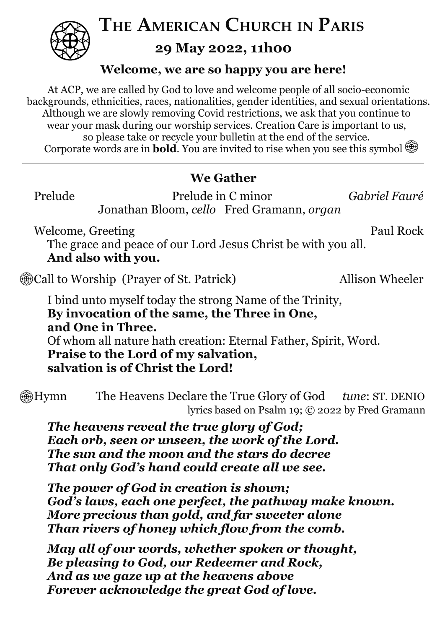

**THE AMERICAN CHURCH IN PARIS**

**29 May 2022, 11h00**

## **Welcome, we are so happy you are here!**

At ACP, we are called by God to love and welcome people of all socio-economic backgrounds, ethnicities, races, nationalities, gender identities, and sexual orientations. Although we are slowly removing Covid restrictions, we ask that you continue to wear your mask during our worship services. Creation Care is important to us, so please take or recycle your bulletin at the end of the service. Corporate words are in **bold**. You are invited to rise when you see this symbol

## **We Gather**

Prelude Prelude in C minor *Gabriel Fauré* Jonathan Bloom, *cello* Fred Gramann, *organ*

Welcome, Greeting Paul Rock

The grace and peace of our Lord Jesus Christ be with you all. **And also with you.**

**Exall to Worship (Prayer of St. Patrick)** Allison Wheeler

I bind unto myself today the strong Name of the Trinity, **By invocation of the same, the Three in One, and One in Three.** Of whom all nature hath creation: Eternal Father, Spirit, Word. **Praise to the Lord of my salvation, salvation is of Christ the Lord!**

Hymn The Heavens Declare the True Glory of God *tune*: ST. DENIO lyrics based on Psalm 19; © 2022 by Fred Gramann

*The heavens reveal the true glory of God; Each orb, seen or unseen, the work of the Lord. The sun and the moon and the stars do decree That only God's hand could create all we see.*

*The power of God in creation is shown; God's laws, each one perfect, the pathway make known. More precious than gold, and far sweeter alone Than rivers of honey which flow from the comb.*

*May all of our words, whether spoken or thought, Be pleasing to God, our Redeemer and Rock, And as we gaze up at the heavens above Forever acknowledge the great God of love.*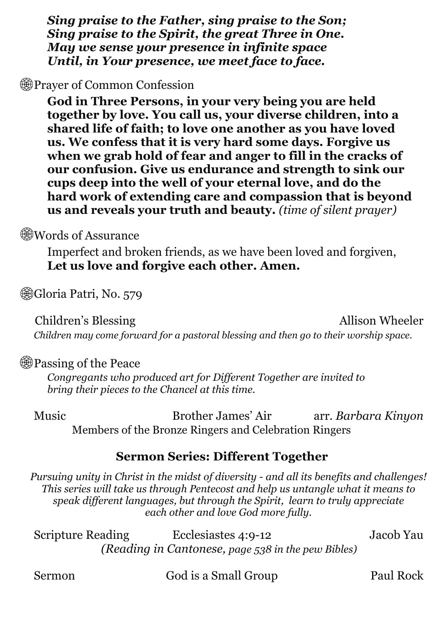*Sing praise to the Father, sing praise to the Son; Sing praise to the Spirit, the great Three in One. May we sense your presence in infinite space Until, in Your presence, we meet face to face.*

**ED** Prayer of Common Confession

**God in Three Persons, in your very being you are held together by love. You call us, your diverse children, into a shared life of faith; to love one another as you have loved us. We confess that it is very hard some days. Forgive us when we grab hold of fear and anger to fill in the cracks of our confusion. Give us endurance and strength to sink our cups deep into the well of your eternal love, and do the hard work of extending care and compassion that is beyond us and reveals your truth and beauty.** *(time of silent prayer)*

**Words of Assurance** 

Imperfect and broken friends, as we have been loved and forgiven, **Let us love and forgive each other. Amen.**

**Gioria Patri, No. 579** 

Children's Blessing Allison Wheeler

*Children may come forward for a pastoral blessing and then go to their worship space.*

#### **<sup>3</sup> Passing of the Peace**

*Congregants who produced art for Dif erent Together are invited to bring their pieces to the Chancel at this time.*

Music Brother James' Air arr. *Barbara Kinyon* Members of the Bronze Ringers and Celebration Ringers

## **Sermon Series: Different Together**

*Pursuing unity in Christ in the midst of diversity - and all its benefits and challenges! This series will take us through Pentecost and help us untangle what it means to speak dif erent languages, but through the Spirit, learn to truly appreciate each other and love God more fully.*

Scripture Reading Ecclesiastes 4:9-12 Jacob Yau *(Reading in Cantonese, page 538 in the pew Bibles)*

Sermon God is a Small Group Paul Rock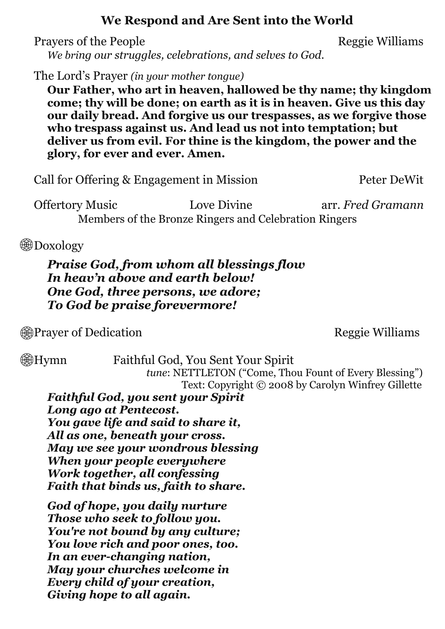### **We Respond and Are Sent into the World**

Prayers of the People Reggie Williams

*We bring our struggles, celebrations, and selves to God.*

The Lord's Prayer *(in your mother tongue)*

**Our Father, who art in heaven, hallowed be thy name; thy kingdom come; thy will be done; on earth as it is in heaven. Give us this day our daily bread. And forgive us our trespasses, as we forgive those who trespass against us. And lead us not into temptation; but deliver us from evil. For thine is the kingdom, the power and the glory, for ever and ever. Amen.**

Call for Offering & Engagement in Mission Peter DeWit

Offertory Music Love Divine arr. *Fred Gramann* Members of the Bronze Ringers and Celebration Ringers

**B**Doxology

*Praise God, from whom all blessings flow In heav'n above and earth below! One God, three persons, we adore; To God be praise forevermore!*

**Example 20** Prayer of Dedication **Reggie Williams** 

Hymn Faithful God, You Sent Your Spirit *tune*: NETTLETON ("Come, Thou Fount of Every Blessing") Text: Copyright © 2008 by Carolyn Winfrey Gillette

*Faithful God, you sent your Spirit Long ago at Pentecost. You gave life and said to share it, All as one, beneath your cross. May we see your wondrous blessing When your people everywhere Work together, all confessing Faith that binds us, faith to share.*

*God of hope, you daily nurture Those who seek to follow you. You're not bound by any culture; You love rich and poor ones, too. In an ever-changing nation, May your churches welcome in Every child of your creation, Giving hope to all again.*